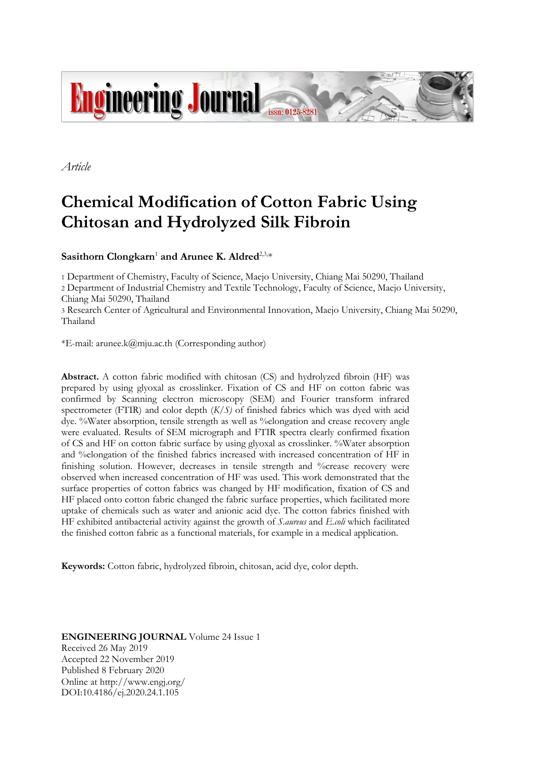

*Article*

# **Chemical Modification of Cotton Fabric Using Chitosan and Hydrolyzed Silk Fibroin**

Sasithorn Clongkarn<sup>1</sup> and Arunee K. Aldred<sup>2,3,\*</sup>

1 Department of Chemistry, Faculty of Science, Maejo University, Chiang Mai 50290, Thailand

2 Department of Industrial Chemistry and Textile Technology, Faculty of Science, Maejo University, Chiang Mai 50290, Thailand

3 Research Center of Agricultural and Environmental Innovation, Maejo University, Chiang Mai 50290, Thailand

\*E-mail: arunee.k@mju.ac.th (Corresponding author)

**Abstract.** A cotton fabric modified with chitosan (CS) and hydrolyzed fibroin (HF) was prepared by using glyoxal as crosslinker. Fixation of CS and HF on cotton fabric was confirmed by Scanning electron microscopy (SEM) and Fourier transform infrared spectrometer (FTIR) and color depth (*K/S)* of finished fabrics which was dyed with acid dye. %Water absorption, tensile strength as well as %elongation and crease recovery angle were evaluated. Results of SEM micrograph and FTIR spectra clearly confirmed fixation of CS and HF on cotton fabric surface by using glyoxal as crosslinker. %Water absorption and %elongation of the finished fabrics increased with increased concentration of HF in finishing solution. However, decreases in tensile strength and %crease recovery were observed when increased concentration of HF was used. This work demonstrated that the surface properties of cotton fabrics was changed by HF modification, fixation of CS and HF placed onto cotton fabric changed the fabric surface properties, which facilitated more uptake of chemicals such as water and anionic acid dye. The cotton fabrics finished with HF exhibited antibacterial activity against the growth of *S.aureus* and *E.coli* which facilitated the finished cotton fabric as a functional materials, for example in a medical application.

**Keywords:** Cotton fabric, hydrolyzed fibroin, chitosan, acid dye, color depth.

**ENGINEERING JOURNAL** Volume 24 Issue 1 Received 26 May 2019 Accepted 22 November 2019 Published 8 February 2020 Online at http://www.engj.org/ DOI:10.4186/ej.2020.24.1.105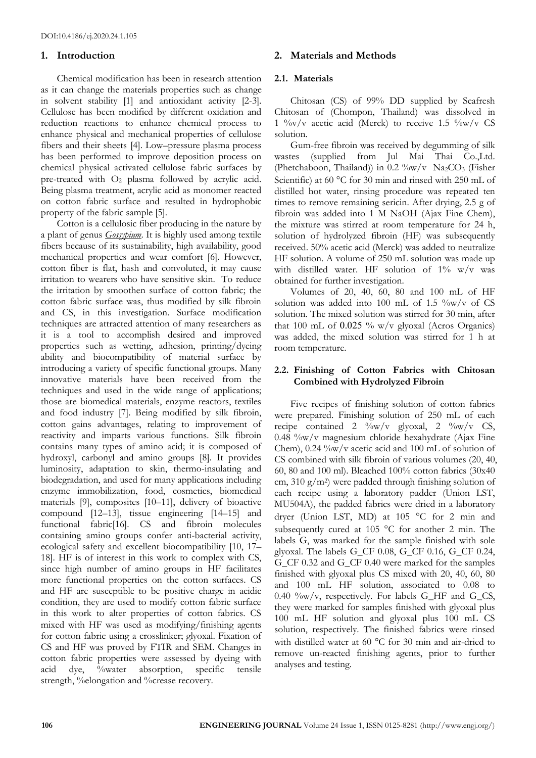# **1. Introduction**

Chemical modification has been in research attention as it can change the materials properties such as change in solvent stability [1] and antioxidant activity [2-3]. Cellulose has been modified by different oxidation and reduction reactions to enhance chemical process to enhance physical and mechanical properties of cellulose fibers and their sheets [4]. Low–pressure plasma process has been performed to improve deposition process on chemical physical activated cellulose fabric surfaces by pre-treated with  $O_2$  plasma followed by acrylic acid. Being plasma treatment, acrylic acid as monomer reacted on cotton fabric surface and resulted in hydrophobic property of the fabric sample [5].

Cotton is a cellulosic fiber producing in the nature by a plant of genus *Gossypium*. It is highly used among textile fibers because of its sustainability, high availability, good mechanical properties and wear comfort [6]. However, cotton fiber is flat, hash and convoluted, it may cause irritation to wearers who have sensitive skin. To reduce the irritation by smoothen surface of cotton fabric; the cotton fabric surface was, thus modified by silk fibroin and CS, in this investigation. Surface modification techniques are attracted attention of many researchers as it is a tool to accomplish desired and improved properties such as wetting, adhesion, printing/dyeing ability and biocompatibility of material surface by introducing a variety of specific functional groups. Many innovative materials have been received from the techniques and used in the wide range of applications; those are biomedical materials, enzyme reactors, textiles and food industry [7]. Being modified by silk fibroin, cotton gains advantages, relating to improvement of reactivity and imparts various functions. Silk fibroin contains many types of amino acid; it is composed of hydroxyl, carbonyl and amino groups [8]. It provides luminosity, adaptation to skin, thermo-insulating and biodegradation, and used for many applications including enzyme immobilization, food, cosmetics, biomedical materials [9], composites [10–11], delivery of bioactive compound [12–13], tissue engineering [14–15] and functional fabric[16]. CS and fibroin molecules containing amino groups confer anti-bacterial activity, ecological safety and excellent biocompatibility [10, 17– 18]. HF is of interest in this work to complex with CS, since high number of amino groups in HF facilitates more functional properties on the cotton surfaces. CS and HF are susceptible to be positive charge in acidic condition, they are used to modify cotton fabric surface in this work to alter properties of cotton fabrics. CS mixed with HF was used as modifying/finishing agents for cotton fabric using a crosslinker; glyoxal. Fixation of CS and HF was proved by FTIR and SEM. Changes in cotton fabric properties were assessed by dyeing with acid dye, %water absorption, specific tensile strength, %elongation and % crease recovery.

# **2. Materials and Methods**

# **2.1. Materials**

Chitosan (CS) of 99% DD supplied by Seafresh Chitosan of (Chompon, Thailand) was dissolved in 1  $\%v/v$  acetic acid (Merck) to receive 1.5  $\%v/v$  CS solution.

Gum-free fibroin was received by degumming of silk wastes (supplied from Jul Mai Thai Co.,Ltd. (Phetchaboon, Thailand)) in  $0.2 \frac{\omega}{\text{w}}$  Na<sub>2</sub>CO<sub>3</sub> (Fisher Scientific) at 60 °C for 30 min and rinsed with 250 mL of distilled hot water, rinsing procedure was repeated ten times to remove remaining sericin. After drying, 2.5 g of fibroin was added into 1 M NaOH (Ajax Fine Chem), the mixture was stirred at room temperature for 24 h, solution of hydrolyzed fibroin (HF) was subsequently received. 50% acetic acid (Merck) was added to neutralize HF solution. A volume of 250 mL solution was made up with distilled water. HF solution of  $1\%$  w/v was obtained for further investigation.

Volumes of 20, 40, 60, 80 and 100 mL of HF solution was added into 100 mL of 1.5  $\%$ w/v of CS solution. The mixed solution was stirred for 30 min, after that 100 mL of  $0.025$  % w/v glyoxal (Acros Organics) was added, the mixed solution was stirred for 1 h at room temperature.

# **2.2. Finishing of Cotton Fabrics with Chitosan Combined with Hydrolyzed Fibroin**

Five recipes of finishing solution of cotton fabrics were prepared. Finishing solution of 250 mL of each recipe contained 2  $\frac{\partial}{\partial y}$  glyoxal, 2  $\frac{\partial}{\partial y}$  CS, 0.48 %w/v magnesium chloride hexahydrate (Ajax Fine Chem), 0.24 %w/v acetic acid and 100 mL of solution of CS combined with silk fibroin of various volumes (20, 40, 60, 80 and 100 ml). Bleached 100% cotton fabrics (30x40 cm, 310 g/m<sup>2</sup> ) were padded through finishing solution of each recipe using a laboratory padder (Union LST, MU504A), the padded fabrics were dried in a laboratory dryer (Union LST, MD) at 105 °C for 2 min and subsequently cured at 105  $^{\circ}$ C for another 2 min. The labels G, was marked for the sample finished with sole glyoxal. The labels G\_CF 0.08, G\_CF 0.16, G\_CF 0.24, G\_CF 0.32 and G\_CF 0.40 were marked for the samples finished with glyoxal plus CS mixed with 20, 40, 60, 80 and 100 mL HF solution, associated to 0.08 to 0.40  $\%$ w/v, respectively. For labels G HF and G CS, they were marked for samples finished with glyoxal plus 100 mL HF solution and glyoxal plus 100 mL CS solution, respectively. The finished fabrics were rinsed with distilled water at 60  $^{\circ}$ C for 30 min and air-dried to remove un-reacted finishing agents, prior to further analyses and testing.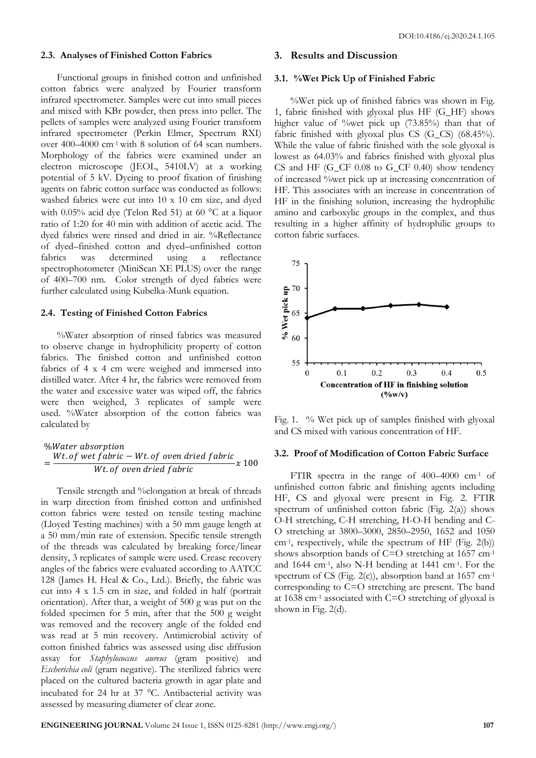#### **2.3. Analyses of Finished Cotton Fabrics**

Functional groups in finished cotton and unfinished cotton fabrics were analyzed by Fourier transform infrared spectrometer. Samples were cut into small pieces and mixed with KBr powder, then press into pellet. The pellets of samples were analyzed using Fourier transform infrared spectrometer (Perkin Elmer, Spectrum RXI) over 400–4000 cm-1 with 8 solution of 64 scan numbers. Morphology of the fabrics were examined under an electron microscope (JEOL, 5410LV) at a working potential of 5 kV. Dyeing to proof fixation of finishing agents on fabric cotton surface was conducted as follows: washed fabrics were cut into 10 x 10 cm size, and dyed with 0.05% acid dye (Telon Red 51) at 60  $^{\circ}$ C at a liquor ratio of 1:20 for 40 min with addition of acetic acid. The dyed fabrics were rinsed and dried in air. %Reflectance of dyed–finished cotton and dyed–unfinished cotton fabrics was determined using a reflectance spectrophotometer (MiniScan XE PLUS) over the range of 400–700 nm. Color strength of dyed fabrics were further calculated using Kubelka-Munk equation.

#### **2.4. Testing of Finished Cotton Fabrics**

%Water absorption of rinsed fabrics was measured to observe change in hydrophilicity property of cotton fabrics. The finished cotton and unfinished cotton fabrics of 4 x 4 cm were weighed and immersed into distilled water. After 4 hr, the fabrics were removed from the water and excessive water was wiped off, the fabrics were then weighed, 3 replicates of sample were used. %Water absorption of the cotton fabrics was calculated by

$$
% Water absorption = \frac{Wt. of wet fabric - Wt. of oven dried fabric}{Wt. of oven dried fabric} x 100
$$

Tensile strength and %elongation at break of threads in warp direction from finished cotton and unfinished cotton fabrics were tested on tensile testing machine (Lloyed Testing machines) with a 50 mm gauge length at a 50 mm/min rate of extension. Specific tensile strength of the threads was calculated by breaking force/linear density, 3 replicates of sample were used. Crease recovery angles of the fabrics were evaluated according to AATCC 128 (James H. Heal & Co., Ltd.). Briefly, the fabric was cut into 4 x 1.5 cm in size, and folded in half (portrait orientation). After that, a weight of 500 g was put on the folded specimen for 5 min, after that the 500 g weight was removed and the recovery angle of the folded end was read at 5 min recovery. Antimicrobial activity of cotton finished fabrics was assessed using disc diffusion assay for *Staphylococcus aureus* (gram positive) and *Escherichia coli* (gram negative). The sterilized fabrics were placed on the cultured bacteria growth in agar plate and incubated for 24 hr at 37 °C. Antibacterial activity was assessed by measuring diameter of clear zone.

# **3. Results and Discussion**

#### **3.1. %Wet Pick Up of Finished Fabric**

%Wet pick up of finished fabrics was shown in Fig. 1, fabric finished with glyoxal plus HF (G\_HF) shows higher value of %wet pick up (73.85%) than that of fabric finished with glyoxal plus CS (G\_CS) (68.45%). While the value of fabric finished with the sole glyoxal is lowest as 64.03% and fabrics finished with glyoxal plus CS and HF (G\_CF 0.08 to G\_CF 0.40) show tendency of increased %wet pick up at increasing concentration of HF. This associates with an increase in concentration of HF in the finishing solution, increasing the hydrophilic amino and carboxylic groups in the complex, and thus resulting in a higher affinity of hydrophilic groups to cotton fabric surfaces.



Fig. 1. % Wet pick up of samples finished with glyoxal and CS mixed with various concentration of HF.

#### **3.2. Proof of Modification of Cotton Fabric Surface**

FTIR spectra in the range of 400–4000 cm-1 of unfinished cotton fabric and finishing agents including HF, CS and glyoxal were present in Fig. 2. FTIR spectrum of unfinished cotton fabric (Fig. 2(a)) shows O-H stretching, C-H stretching, H-O-H bending and C-O stretching at 3800–3000, 2850–2950, 1652 and 1050 cm-1 , respectively, while the spectrum of HF (Fig. 2(b)) shows absorption bands of C=O stretching at 1657 cm-1 and 1644 cm-1 , also N-H bending at 1441 cm-1 . For the spectrum of CS (Fig. 2(c)), absorption band at 1657 cm-1 corresponding to C=O stretching are present. The band at 1638 cm-1 associated with C=O stretching of glyoxal is shown in Fig. 2(d).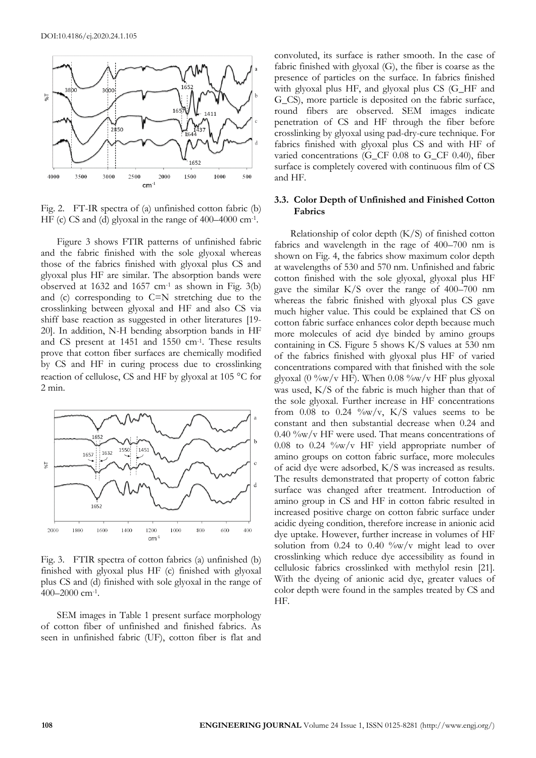

Fig. 2. FT-IR spectra of (a) unfinished cotton fabric (b) HF (c) CS and (d) glyoxal in the range of 400–4000 cm<sup>-1</sup>.

Figure 3 shows FTIR patterns of unfinished fabric and the fabric finished with the sole glyoxal whereas those of the fabrics finished with glyoxal plus CS and glyoxal plus HF are similar. The absorption bands were observed at  $1632$  and  $1657$  cm<sup>-1</sup> as shown in Fig.  $3(b)$ and (c) corresponding to C=N stretching due to the crosslinking between glyoxal and HF and also CS via shiff base reaction as suggested in other literatures [19- 20]. In addition, N-H bending absorption bands in HF and CS present at 1451 and 1550 cm-1 . These results prove that cotton fiber surfaces are chemically modified by CS and HF in curing process due to crosslinking reaction of cellulose, CS and HF by glyoxal at 105  $\degree$ C for 2 min.



Fig. 3. FTIR spectra of cotton fabrics (a) unfinished (b) finished with glyoxal plus HF (c) finished with glyoxal plus CS and (d) finished with sole glyoxal in the range of 400–2000 cm-1 .

SEM images in Table 1 present surface morphology of cotton fiber of unfinished and finished fabrics. As seen in unfinished fabric (UF), cotton fiber is flat and

convoluted, its surface is rather smooth. In the case of fabric finished with glyoxal (G), the fiber is coarse as the presence of particles on the surface. In fabrics finished with glyoxal plus HF, and glyoxal plus CS (G\_HF and G\_CS), more particle is deposited on the fabric surface, round fibers are observed. SEM images indicate penetration of CS and HF through the fiber before crosslinking by glyoxal using pad-dry-cure technique. For fabrics finished with glyoxal plus CS and with HF of varied concentrations (G\_CF 0.08 to G\_CF 0.40), fiber surface is completely covered with continuous film of CS and HF.

# **3.3. Color Depth of Unfinished and Finished Cotton Fabrics**

Relationship of color depth  $(K/S)$  of finished cotton fabrics and wavelength in the rage of 400–700 nm is shown on Fig. 4, the fabrics show maximum color depth at wavelengths of 530 and 570 nm. Unfinished and fabric cotton finished with the sole glyoxal, glyoxal plus HF gave the similar K/S over the range of 400–700 nm whereas the fabric finished with glyoxal plus CS gave much higher value. This could be explained that CS on cotton fabric surface enhances color depth because much more molecules of acid dye binded by amino groups containing in CS. Figure 5 shows K/S values at 530 nm of the fabrics finished with glyoxal plus HF of varied concentrations compared with that finished with the sole glyoxal (0  $\%$ w/v HF). When 0.08  $\%$ w/v HF plus glyoxal was used, K/S of the fabric is much higher than that of the sole glyoxal. Further increase in HF concentrations from  $0.08$  to  $0.24 \frac{\omega}{\omega}$  v, K/S values seems to be constant and then substantial decrease when 0.24 and  $0.40\%$ w/v HF were used. That means concentrations of 0.08 to 0.24 %w/v HF yield appropriate number of amino groups on cotton fabric surface, more molecules of acid dye were adsorbed, K/S was increased as results. The results demonstrated that property of cotton fabric surface was changed after treatment. Introduction of amino group in CS and HF in cotton fabric resulted in increased positive charge on cotton fabric surface under acidic dyeing condition, therefore increase in anionic acid dye uptake. However, further increase in volumes of HF solution from 0.24 to 0.40  $\%$ w/v might lead to over crosslinking which reduce dye accessibility as found in cellulosic fabrics crosslinked with methylol resin [21]. With the dyeing of anionic acid dye, greater values of color depth were found in the samples treated by CS and HF.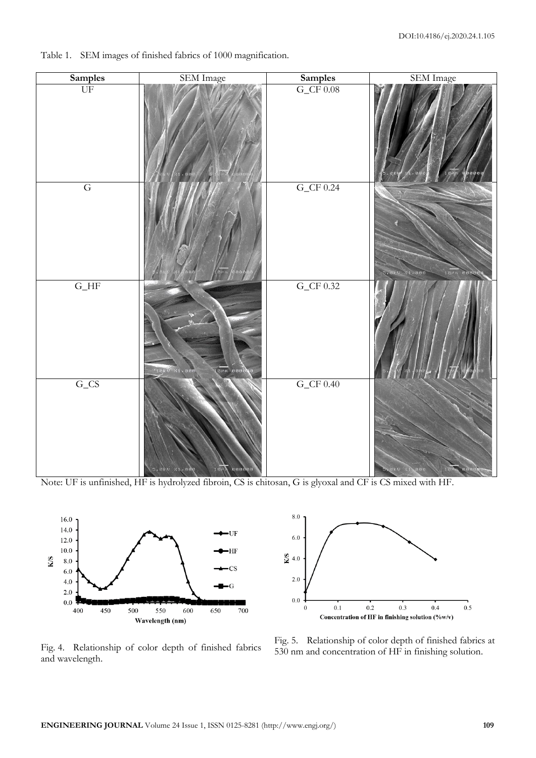

Table 1. SEM images of finished fabrics of 1000 magnification.

Note: UF is unfinished, HF is hydrolyzed fibroin, CS is chitosan, G is glyoxal and CF is CS mixed with HF.





Fig. 4. Relationship of color depth of finished fabrics and wavelength.

Fig. 5. Relationship of color depth of finished fabrics at 530 nm and concentration of HF in finishing solution.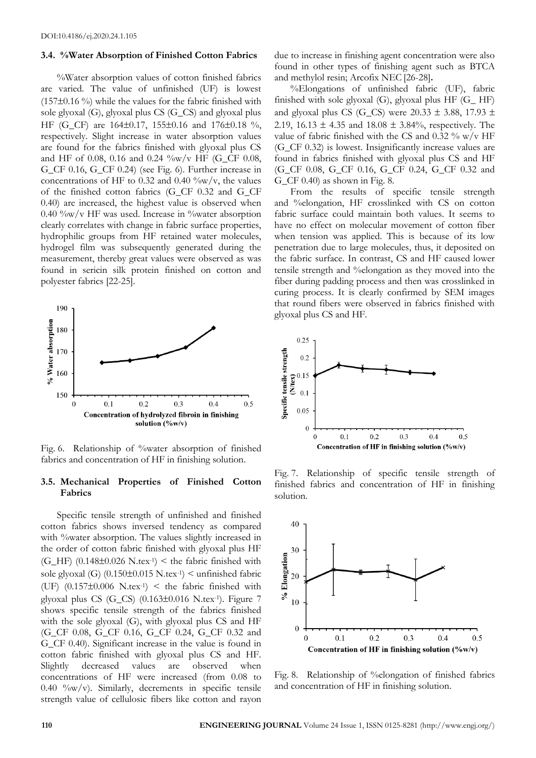#### **3.4. %Water Absorption of Finished Cotton Fabrics**

%Water absorption values of cotton finished fabrics are varied. The value of unfinished (UF) is lowest  $(157\pm0.16\%)$  while the values for the fabric finished with sole glyoxal (G), glyoxal plus CS (G\_CS) and glyoxal plus HF (G CF) are 164 $\pm$ 0.17, 155 $\pm$ 0.16 and 176 $\pm$ 0.18 %, respectively. Slight increase in water absorption values are found for the fabrics finished with glyoxal plus CS and HF of 0.08, 0.16 and 0.24  $\%$ w/v HF (G\_CF 0.08, G\_CF 0.16, G\_CF 0.24) (see Fig. 6). Further increase in concentrations of HF to 0.32 and 0.40  $\%$ w/v, the values of the finished cotton fabrics (G\_CF 0.32 and G\_CF 0.40) are increased, the highest value is observed when  $0.40\%$ w/v HF was used. Increase in  $\%$ water absorption clearly correlates with change in fabric surface properties, hydrophilic groups from HF retained water molecules, hydrogel film was subsequently generated during the measurement, thereby great values were observed as was found in sericin silk protein finished on cotton and polyester fabrics [22-25].



Fig. 6. Relationship of %water absorption of finished fabrics and concentration of HF in finishing solution.

## **3.5. Mechanical Properties of Finished Cotton Fabrics**

Specific tensile strength of unfinished and finished cotton fabrics shows inversed tendency as compared with %water absorption. The values slightly increased in the order of cotton fabric finished with glyoxal plus HF  $(G_{\text{L}}HF)$  (0.148±0.026 N.tex<sup>-1</sup>) < the fabric finished with sole glyoxal (G)  $(0.150 \pm 0.015 \text{ N.t.} \text{ex}^{-1})$  < unfinished fabric (UF)  $(0.157\pm0.006 \text{ N.tex}^{-1})$  < the fabric finished with glyoxal plus CS (G\_CS) (0.163±0.016 N.tex-1). Figure 7 shows specific tensile strength of the fabrics finished with the sole glyoxal (G), with glyoxal plus CS and HF (G\_CF 0.08, G\_CF 0.16, G\_CF 0.24, G\_CF 0.32 and G\_CF 0.40). Significant increase in the value is found in cotton fabric finished with glyoxal plus CS and HF. Slightly decreased values are observed when concentrations of HF were increased (from 0.08 to 0.40 %w/v). Similarly, decrements in specific tensile strength value of cellulosic fibers like cotton and rayon

due to increase in finishing agent concentration were also found in other types of finishing agent such as BTCA and methylol resin; Arcofix NEC [26-28]**.**

%Elongations of unfinished fabric (UF), fabric finished with sole glyoxal (G), glyoxal plus HF (G\_ HF) and glyoxal plus CS (G\_CS) were 20.33  $\pm$  3.88, 17.93  $\pm$ 2.19, 16.13  $\pm$  4.35 and 18.08  $\pm$  3.84%, respectively. The value of fabric finished with the CS and  $0.32\%$  w/v HF (G\_CF 0.32) is lowest. Insignificantly increase values are found in fabrics finished with glyoxal plus CS and HF (G\_CF 0.08, G\_CF 0.16, G\_CF 0.24, G\_CF 0.32 and G\_CF 0.40) as shown in Fig. 8.

From the results of specific tensile strength and %elongation, HF crosslinked with CS on cotton fabric surface could maintain both values. It seems to have no effect on molecular movement of cotton fiber when tension was applied. This is because of its low penetration due to large molecules, thus, it deposited on the fabric surface. In contrast, CS and HF caused lower tensile strength and %elongation as they moved into the fiber during padding process and then was crosslinked in curing process. It is clearly confirmed by SEM images that round fibers were observed in fabrics finished with glyoxal plus CS and HF.



Fig. 7. Relationship of specific tensile strength of finished fabrics and concentration of HF in finishing solution.



Fig. 8. Relationship of %elongation of finished fabrics and concentration of HF in finishing solution.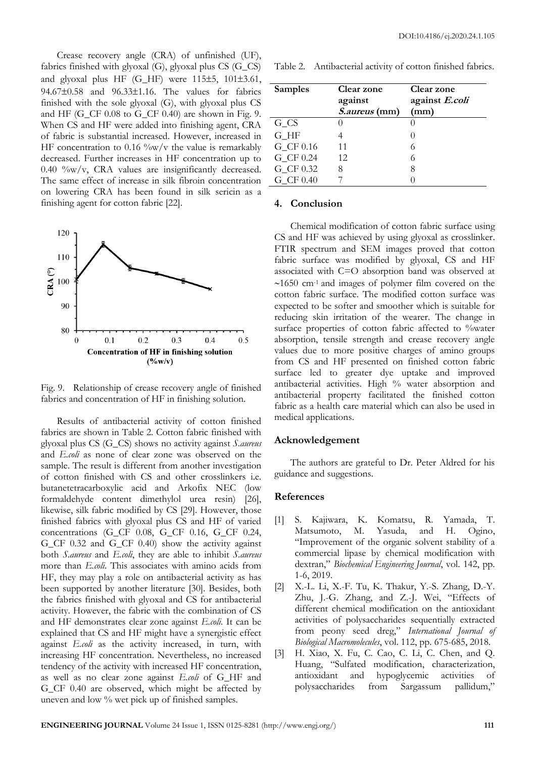Crease recovery angle (CRA) of unfinished (UF), fabrics finished with glyoxal (G), glyoxal plus CS (G\_CS) and glyoxal plus HF  $(G_{\text{I}}$ HF) were 115 $\pm$ 5, 101 $\pm$ 3.61, 94.67±0.58 and 96.33±1.16. The values for fabrics finished with the sole glyoxal (G), with glyoxal plus CS and HF (G\_CF 0.08 to G\_CF 0.40) are shown in Fig. 9. When CS and HF were added into finishing agent, CRA of fabric is substantial increased. However, increased in HF concentration to  $0.16 \degree/$  w/v the value is remarkably decreased. Further increases in HF concentration up to  $0.40 \degree/$ w/v, CRA values are insignificantly decreased. The same effect of increase in silk fibroin concentration on lowering CRA has been found in silk sericin as a finishing agent for cotton fabric [22].



Fig. 9. Relationship of crease recovery angle of finished fabrics and concentration of HF in finishing solution.

Results of antibacterial activity of cotton finished fabrics are shown in Table 2. Cotton fabric finished with glyoxal plus CS (G\_CS) shows no activity against *S.aureus* and *E.coli* as none of clear zone was observed on the sample. The result is different from another investigation of cotton finished with CS and other crosslinkers i.e. butanetetracarboxylic acid and Arkofix NEC (low formaldehyde content dimethylol urea resin) [26], likewise, silk fabric modified by CS [29]. However, those finished fabrics with glyoxal plus CS and HF of varied concentrations (G\_CF 0.08, G\_CF 0.16, G\_CF 0.24, G\_CF 0.32 and G\_CF 0.40) show the activity against both *S.aureus* and *E.coli*, they are able to inhibit *S.aureus* more than *E.coli*. This associates with amino acids from HF, they may play a role on antibacterial activity as has been supported by another literature [30]. Besides, both the fabrics finished with glyoxal and CS for antibacterial activity. However, the fabric with the combination of CS and HF demonstrates clear zone against *E.coli*. It can be explained that CS and HF might have a synergistic effect against *E.coli* as the activity increased, in turn, with increasing HF concentration. Nevertheless, no increased tendency of the activity with increased HF concentration, as well as no clear zone against *E.coli* of G\_HF and G\_CF 0.40 are observed, which might be affected by uneven and low % wet pick up of finished samples.

Table 2. Antibacterial activity of cotton finished fabrics.

| <b>Samples</b> | <b>Clear zone</b><br>against<br>S.aureus (mm) | <b>Clear zone</b><br>against E.coli<br>(mm) |
|----------------|-----------------------------------------------|---------------------------------------------|
| G CS           |                                               |                                             |
| G HF           |                                               |                                             |
| G CF 0.16      | 11                                            | 6                                           |
| G CF 0.24      | 12                                            | 6                                           |
| G CF 0.32      | 8                                             | 8                                           |
| G_CF 0.40      |                                               |                                             |

# **4. Conclusion**

Chemical modification of cotton fabric surface using CS and HF was achieved by using glyoxal as crosslinker. FTIR spectrum and SEM images proved that cotton fabric surface was modified by glyoxal, CS and HF associated with C=O absorption band was observed at  $\sim$ 1650 cm<sup>-1</sup> and images of polymer film covered on the cotton fabric surface. The modified cotton surface was expected to be softer and smoother which is suitable for reducing skin irritation of the wearer. The change in surface properties of cotton fabric affected to %water absorption, tensile strength and crease recovery angle values due to more positive charges of amino groups from CS and HF presented on finished cotton fabric surface led to greater dye uptake and improved antibacterial activities. High % water absorption and antibacterial property facilitated the finished cotton fabric as a health care material which can also be used in medical applications.

## **Acknowledgement**

The authors are grateful to Dr. Peter Aldred for his guidance and suggestions.

# **References**

- [1] S. Kajiwara, K. Komatsu, R. Yamada, T. Matsumoto, M. Yasuda, and H. Ogino, "Improvement of the organic solvent stability of a commercial lipase by chemical modification with dextran," *Biochemical Engineering Journal*, vol. 142, pp. 1-6, 2019.
- [2] X.-L. Li, X.-F. Tu, K. Thakur, Y.-S. Zhang, D.-Y. Zhu, J.-G. Zhang, and Z.-J. Wei, "Effects of different chemical modification on the antioxidant activities of polysaccharides sequentially extracted from peony seed dreg," *International Journal of Biological Macromolecules*, vol. 112, pp. 675-685, 2018.
- [3] H. Xiao, X. Fu, C. Cao, C. Li, C. Chen, and Q. Huang, "Sulfated modification, characterization, antioxidant and hypoglycemic activities of polysaccharides from Sargassum pallidum,"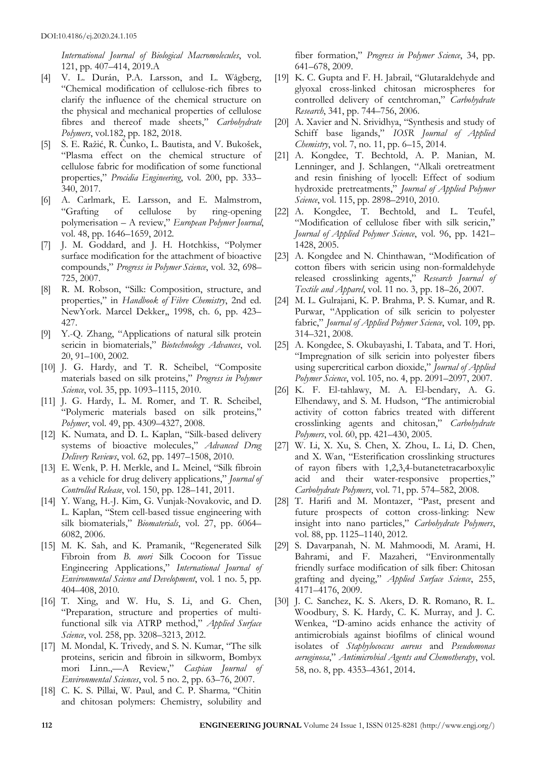*International Journal of Biological Macromolecules*, vol. 121, pp. 407–414, 2019.A

- [4] V. L. Durán, P.A. Larsson, and L. Wågberg, "Chemical modification of cellulose-rich fibres to clarify the influence of the chemical structure on the physical and mechanical properties of cellulose fibres and thereof made sheets," *Carbohydrate Polymers*, vol.182, pp. 182, 2018.
- [5] S. E. Ražić, R. Čunko, L. Bautista, and V. Bukošek, "Plasma effect on the chemical structure of cellulose fabric for modification of some functional properties," *Procidia Engineering*, vol. 200, pp. 333– 340, 2017.
- [6] A. Carlmark, E. Larsson, and E. Malmstrom, "Grafting of cellulose by ring-opening polymerisation – A review," *European Polymer Journal*, vol. 48, pp. 1646–1659, 2012.
- [7] J. M. Goddard, and J. H. Hotchkiss, "Polymer surface modification for the attachment of bioactive compounds," *Progress in Polymer Science*, vol. 32, 698– 725, 2007.
- [8] R. M. Robson, "Silk: Composition, structure, and properties," in *Handbook of Fibre Chemistry*, 2nd ed. NewYork. Marcel Dekker,, 1998, ch. 6, pp. 423– 427.
- [9] Y.-Q. Zhang, "Applications of natural silk protein sericin in biomaterials," *Biotechnology Advances*, vol. 20, 91–100, 2002.
- [10] J. G. Hardy, and T. R. Scheibel, "Composite materials based on silk proteins," *Progress in Polymer Science*, vol. 35, pp. 1093–1115, 2010.
- [11] J. G. Hardy, L. M. Romer, and T. R. Scheibel, "Polymeric materials based on silk proteins," *Polymer*, vol. 49, pp. 4309–4327, 2008.
- [12] K. Numata, and D. L. Kaplan, "Silk-based delivery systems of bioactive molecules," *Advanced Drug Delivery Reviews*, vol. 62, pp. 1497–1508, 2010.
- [13] E. Wenk, P. H. Merkle, and L. Meinel, "Silk fibroin as a vehicle for drug delivery applications," *Journal of Controlled Release*, vol. 150, pp. 128–141, 2011.
- [14] Y. Wang, H.-J. Kim, G. Vunjak-Novakovic, and D. L. Kaplan, "Stem cell-based tissue engineering with silk biomaterials," *Biomaterials*, vol. 27, pp. 6064– 6082, 2006.
- [15] M. K. Sah, and K. Pramanik, "Regenerated Silk Fibroin from *B. mori* Silk Cocoon for Tissue Engineering Applications," *International Journal of Environmental Science and Development*, vol. 1 no. 5, pp. 404–408, 2010.
- [16] T. Xing, and W. Hu, S. Li, and G. Chen, "Preparation, structure and properties of multifunctional silk via ATRP method," *Applied Surface Science*, vol. 258, pp. 3208–3213, 2012.
- [17] M. Mondal, K. Trivedy, and S. N. Kumar, "The silk proteins, sericin and fibroin in silkworm, Bombyx mori Linn.,—A Review," *Caspian Journal of Environmental Sciences*, vol. 5 no. 2, pp. 63–76, 2007.
- [18] C. K. S. Pillai, W. Paul, and C. P. Sharma*,* "Chitin and chitosan polymers: Chemistry, solubility and

fiber formation," *Progress in Polymer Science*, 34, pp. 641–678, 2009.

- [19] K. C. Gupta and F. H. Jabrail, "Glutaraldehyde and glyoxal cross-linked chitosan microspheres for controlled delivery of centchroman," *Carbohydrate Research*, 341, pp. 744–756, 2006.
- [20] A. Xavier and N. Srividhya, "Synthesis and study of Schiff base ligands," *IOSR Journal of Applied Chemistry*, vol. 7, no. 11, pp. 6–15, 2014.
- [21] A. Kongdee, T. Bechtold, A. P. Manian, M. Lenninger, and J. Schlangen, "Alkali oretreatment and resin finishing of lyocell: Effect of sodium hydroxide pretreatments," *Journal of Applied Polymer Science*, vol. 115, pp. 2898–2910, 2010.
- [22] A. Kongdee, T. Bechtold, and L. Teufel, "Modification of cellulose fiber with silk sericin," *Journal of Applied Polymer Science*, vol. 96, pp. 1421– 1428, 2005.
- [23] A. Kongdee and N. Chinthawan, "Modification of cotton fibers with sericin using non-formaldehyde released crosslinking agents," *Research Journal of Textile and Apparel*, vol. 11 no. 3, pp. 18–26, 2007.
- [24] M. L. Gulrajani, K. P. Brahma, P. S. Kumar, and R. Purwar, "Application of silk sericin to polyester fabric," *Journal of Applied Polymer Science*, vol. 109, pp. 314–321, 2008.
- [25] A. Kongdee, S. Okubayashi, I. Tabata, and T. Hori, "Impregnation of silk sericin into polyester fibers using supercritical carbon dioxide," *Journal of Applied Polymer Science*, vol. 105, no. 4, pp. 2091–2097, 2007.
- [26] K. F. El-tahlawy, M. A. El-bendary, A. G. Elhendawy, and S. M. Hudson, "The antimicrobial activity of cotton fabrics treated with different crosslinking agents and chitosan," *Carbohydrate Polymers*, vol. 60, pp. 421–430, 2005.
- [27] W. Li, X. Xu, S. Chen, X. Zhou, L. Li, D. Chen, and X. Wan, "Esterification crosslinking structures of rayon fibers with 1,2,3,4-butanetetracarboxylic acid and their water-responsive properties," *Carbohydrate Polymers*, vol. 71, pp. 574–582, 2008.
- [28] T. Harifi and M. Montazer, "Past, present and future prospects of cotton cross-linking: New insight into nano particles," *Carbohydrate Polymers*, vol. 88, pp. 1125–1140, 2012.
- [29] S. Davarpanah, N. M. Mahmoodi, M. Arami, H. Bahrami, and F. Mazaheri, "Environmentally friendly surface modification of silk fiber: Chitosan grafting and dyeing," *Applied Surface Science*, 255, 4171–4176, 2009.
- [30] J. C. Sanchez, K. S. Akers, D. R. Romano, R. L. Woodbury, S. K. Hardy, C. K. Murray, and J. C. Wenkea, "D-amino acids enhance the activity of antimicrobials against biofilms of clinical wound isolates of *Staphylococcus aureus* and *Pseudomonas aeruginosa*," *Antimicrobial Agents and Chemotherapy*, vol. 58, no. 8, pp. 4353–4361, 2014.